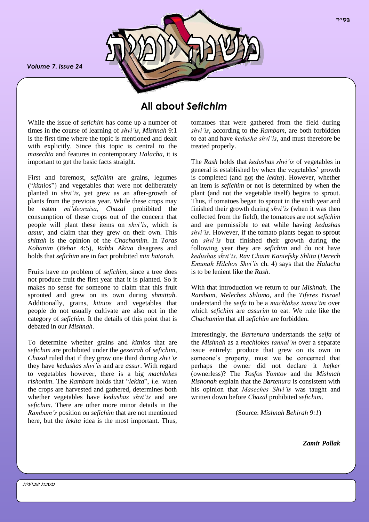*Volume 7. Issue 24*



# **All about** *Sefichim*

While the issue of *sefichim* has come up a number of times in the course of learning of *shvi'is*, *Mishnah* 9:1 is the first time where the topic is mentioned and dealt with explicitly. Since this topic is central to the *masechta* and features in contemporary *Halacha*, it is important to get the basic facts straight.

First and foremost, *sefichim* are grains, legumes ("*kitnios*") and vegetables that were not deliberately planted in *shvi'is*, yet grew as an after-growth of plants from the previous year. While these crops may be eaten *mi'deoraisa*, *Chazal* prohibited the consumption of these crops out of the concern that people will plant these items on *shvi'is*, which is *assur*, and claim that they grew on their own. This *shittah* is the opinion of the *Chachamim*. In *Toras Kohanim* (*Behar* 4:5), *Rabbi Akiva* disagrees and holds that *sefichim* are in fact prohibited *min hatorah*.

Fruits have no problem of *sefichim*, since a tree does not produce fruit the first year that it is planted. So it makes no sense for someone to claim that this fruit sprouted and grew on its own during *shmittah*. Additionally, grains, *kitnios* and vegetables that people do not usually cultivate are also not in the category of *sefichim*. It the details of this point that is debated in our *Mishnah*.

To determine whether grains and *kitnios* that are *sefichim* are prohibited under the *gezeirah* of *sefichim*, *Chazal* ruled that if they grow one third during *shvi'is* they have *kedushas shvi'is* and are *assur*. With regard to vegetables however, there is a big *machlokes rishonim*. The *Rambam* holds that "*lekita*", i.e. when the crops are harvested and gathered, determines both whether vegetables have *kedushas shvi'is* and are *sefichim*. There are other more minor details in the *Rambam's* position on *sefichim* that are not mentioned here, but the *lekita* idea is the most important. Thus, tomatoes that were gathered from the field during *shvi'is*, according to the *Rambam*, are both forbidden to eat and have *kedusha shvi'is*, and must therefore be treated properly.

The *Rash* holds that *kedushas shvi'is* of vegetables in general is established by when the vegetables' growth is completed (and not the *lekita*). However, whether an item is *sefichim* or not is determined by when the plant (and not the vegetable itself) begins to sprout. Thus, if tomatoes began to sprout in the sixth year and finished their growth during *shvi'is* (when it was then collected from the field), the tomatoes are not *sefichim* and are permissible to eat while having *kedushas shvi'is*. However, if the tomato plants began to sprout on *shvi'is* but finished their growth during the following year they are *sefichim* and do not have *kedushas shvi'is*. *Rav Chaim Kaniefsky Shlita* (*Derech Emunah Hilchos Shvi'is* ch. 4) says that the *Halacha* is to be lenient like the *Rash*.

With that introduction we return to our *Mishnah*. The *Rambam, Meleches Shlomo,* and the *Tiferes Yisrael* understand the *seifa* to be a *machlokes tanna'im* over which *sefichim* are *assurim* to eat. We rule like the *Chachamim* that all *sefichim* are forbidden.

Interestingly, the *Bartenura* understands the *seifa* of the *Mishnah* as a *machlokes tannai'm* over a separate issue entirely: produce that grew on its own in someone's property, must we be concerned that perhaps the owner did not declare it *hefker* (ownerless)? The *Tosfos Yomtov* and the *Mishnah Rishonah* explain that the *Bartenura* is consistent with his opinion that *Maseches Shvi'is* was taught and written down before *Chazal* prohibited *sefichim*.

(Source: *Mishnah Behirah 9:1*)

*Zamir Pollak*

**בס"ד**